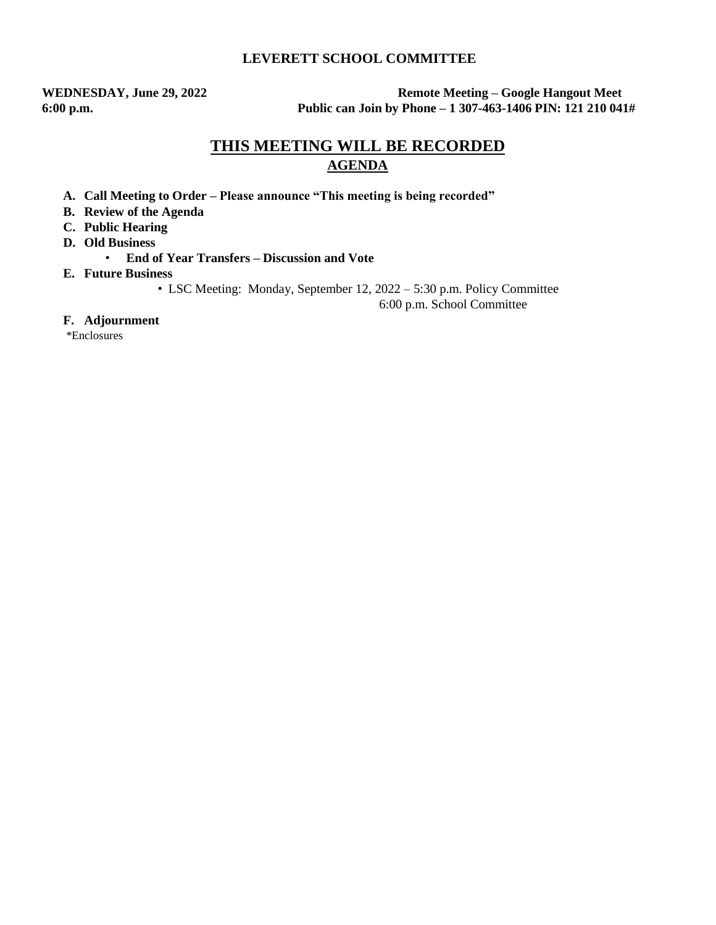## **LEVERETT SCHOOL COMMITTEE**

**WEDNESDAY, June 29, 2022 Remote Meeting – Google Hangout Meet 6:00 p.m. Public can Join by Phone – 1 307-463-1406 PIN: 121 210 041#**

# **THIS MEETING WILL BE RECORDED AGENDA**

- **A. Call Meeting to Order – Please announce "This meeting is being recorded"**
- **B. Review of the Agenda**
- **C. Public Hearing**
- **D. Old Business** 
	- **End of Year Transfers – Discussion and Vote**
- **E. Future Business** 
	- LSC Meeting: Monday, September 12, 2022 5:30 p.m. Policy Committee

6:00 p.m. School Committee

#### **F. Adjournment**

\*Enclosures